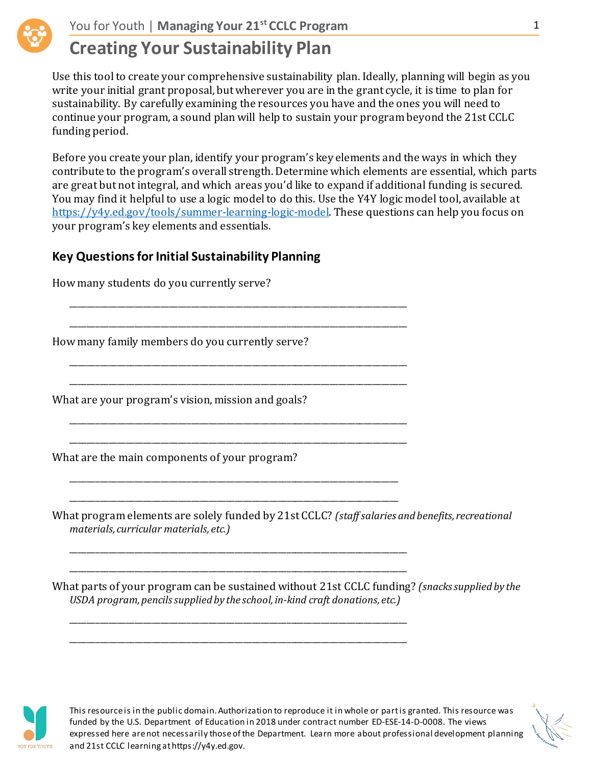

Use this tool to create your comprehensive sustainability plan. Ideally, planning will begin as you write your initial grant proposal, but wherever you are in the grant cycle, it is time to plan for sustainability. By carefully examining the resources you have and the ones you will need to continue your program, a sound plan will help to sustain your program beyond the 21st CCLC funding period.

Before you create your plan, identify your program's key elements and the ways in which they contribute to the program's overall strength. Determine which elements are essential, which parts are great but not integral, and which areas you'd like to expand if additional funding is secured. You may find it helpful to use a logic model to do this. Use the Y4Y logic model tool, available at [https://y4y.ed.gov/tools/summer-learning-logic-model.](https://y4y.ed.gov/tools/summer-learning-logic-model) These questions can help you focus on your program's key elements and essentials.

### **Key Questions for Initial Sustainability Planning**

\_\_\_\_\_\_\_\_\_\_\_\_\_\_\_\_\_\_\_\_\_\_\_\_\_\_\_\_\_\_\_\_\_\_\_\_\_\_\_\_\_\_\_\_\_\_\_\_\_\_\_\_\_\_\_\_\_\_\_\_\_\_\_\_\_\_\_\_\_\_\_\_\_\_\_\_\_\_

\_\_\_\_\_\_\_\_\_\_\_\_\_\_\_\_\_\_\_\_\_\_\_\_\_\_\_\_\_\_\_\_\_\_\_\_\_\_\_\_\_\_\_\_\_\_\_\_\_\_\_\_\_\_\_\_\_\_\_\_\_\_\_\_\_\_\_\_\_\_\_\_\_\_\_\_\_\_

\_\_\_\_\_\_\_\_\_\_\_\_\_\_\_\_\_\_\_\_\_\_\_\_\_\_\_\_\_\_\_\_\_\_\_\_\_\_\_\_\_\_\_\_\_\_\_\_\_\_\_\_\_\_\_\_\_\_\_\_\_\_\_\_\_\_\_\_\_\_\_\_\_\_\_\_\_\_ \_\_\_\_\_\_\_\_\_\_\_\_\_\_\_\_\_\_\_\_\_\_\_\_\_\_\_\_\_\_\_\_\_\_\_\_\_\_\_\_\_\_\_\_\_\_\_\_\_\_\_\_\_\_\_\_\_\_\_\_\_\_\_\_\_\_\_\_\_\_\_\_\_\_\_\_\_\_

\_\_\_\_\_\_\_\_\_\_\_\_\_\_\_\_\_\_\_\_\_\_\_\_\_\_\_\_\_\_\_\_\_\_\_\_\_\_\_\_\_\_\_\_\_\_\_\_\_\_\_\_\_\_\_\_\_\_\_\_\_\_\_\_\_\_\_\_\_\_\_\_\_\_\_\_\_\_

\_\_\_\_\_\_\_\_\_\_\_\_\_\_\_\_\_\_\_\_\_\_\_\_\_\_\_\_\_\_\_\_\_\_\_\_\_\_\_\_\_\_\_\_\_\_\_\_\_\_\_\_\_\_\_\_\_\_\_\_\_\_\_\_\_\_\_\_\_\_\_\_\_\_\_\_\_\_

\_\_\_\_\_\_\_\_\_\_\_\_\_\_\_\_\_\_\_\_\_\_\_\_\_\_\_\_\_\_\_\_\_\_\_\_\_\_\_\_\_\_\_\_\_\_\_\_\_\_\_\_\_\_\_\_\_\_\_\_\_\_\_\_\_\_\_\_\_\_\_\_\_\_\_\_

\_\_\_\_\_\_\_\_\_\_\_\_\_\_\_\_\_\_\_\_\_\_\_\_\_\_\_\_\_\_\_\_\_\_\_\_\_\_\_\_\_\_\_\_\_\_\_\_\_\_\_\_\_\_\_\_\_\_\_\_\_\_\_\_\_\_\_\_\_\_\_\_\_\_\_\_

\_\_\_\_\_\_\_\_\_\_\_\_\_\_\_\_\_\_\_\_\_\_\_\_\_\_\_\_\_\_\_\_\_\_\_\_\_\_\_\_\_\_\_\_\_\_\_\_\_\_\_\_\_\_\_\_\_\_\_\_\_\_\_\_\_\_\_\_\_\_\_\_\_\_\_\_\_\_ \_\_\_\_\_\_\_\_\_\_\_\_\_\_\_\_\_\_\_\_\_\_\_\_\_\_\_\_\_\_\_\_\_\_\_\_\_\_\_\_\_\_\_\_\_\_\_\_\_\_\_\_\_\_\_\_\_\_\_\_\_\_\_\_\_\_\_\_\_\_\_\_\_\_\_\_\_\_

\_\_\_\_\_\_\_\_\_\_\_\_\_\_\_\_\_\_\_\_\_\_\_\_\_\_\_\_\_\_\_\_\_\_\_\_\_\_\_\_\_\_\_\_\_\_\_\_\_\_\_\_\_\_\_\_\_\_\_\_\_\_\_\_\_\_\_\_\_\_\_\_\_\_\_\_\_\_

\_\_\_\_\_\_\_\_\_\_\_\_\_\_\_\_\_\_\_\_\_\_\_\_\_\_\_\_\_\_\_\_\_\_\_\_\_\_\_\_\_\_\_\_\_\_\_\_\_\_\_\_\_\_\_\_\_\_\_\_\_\_\_\_\_\_\_\_\_\_\_\_\_\_\_\_\_\_

How many students do you currently serve?

How many family members do you currently serve?

What are your program's vision, mission and goals?

What are the main components of your program?

What program elements are solely funded by 21st CCLC? *(staff salaries and benefits, recreational materials, curricular materials, etc.)*

What parts of your program can be sustained without 21st CCLC funding? *(snacks supplied by the USDA program, pencils supplied by the school, in-kind craft donations, etc.)*



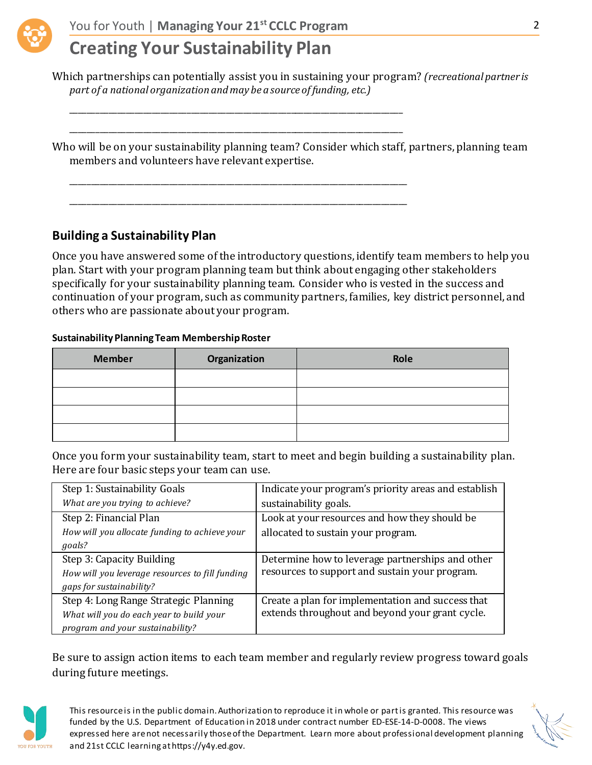

\_\_\_\_\_\_\_\_\_\_\_\_\_\_\_\_\_\_\_\_\_\_\_\_\_\_\_\_\_\_\_\_\_\_\_\_\_\_\_\_\_\_\_\_\_\_\_\_\_\_\_\_\_\_\_\_\_\_\_\_\_\_\_\_\_\_\_\_\_\_\_\_\_\_\_\_\_

\_\_\_\_\_\_\_\_\_\_\_\_\_\_\_\_\_\_\_\_\_\_\_\_\_\_\_\_\_\_\_\_\_\_\_\_\_\_\_\_\_\_\_\_\_\_\_\_\_\_\_\_\_\_\_\_\_\_\_\_\_\_\_\_\_\_\_\_\_\_\_\_\_\_\_\_\_

\_\_\_\_\_\_\_\_\_\_\_\_\_\_\_\_\_\_\_\_\_\_\_\_\_\_\_\_\_\_\_\_\_\_\_\_\_\_\_\_\_\_\_\_\_\_\_\_\_\_\_\_\_\_\_\_\_\_\_\_\_\_\_\_\_\_\_\_\_\_\_\_\_\_\_\_\_\_

\_\_\_\_\_\_\_\_\_\_\_\_\_\_\_\_\_\_\_\_\_\_\_\_\_\_\_\_\_\_\_\_\_\_\_\_\_\_\_\_\_\_\_\_\_\_\_\_\_\_\_\_\_\_\_\_\_\_\_\_\_\_\_\_\_\_\_\_\_\_\_\_\_\_\_\_\_\_

## **Creating Your Sustainability Plan**

Which partnerships can potentially assist you in sustaining your program? *(recreational partner is part of a national organization and may be a source of funding, etc.)*

Who will be on your sustainability planning team? Consider which staff, partners, planning team members and volunteers have relevant expertise.

### **Building a Sustainability Plan**

Once you have answered some of the introductory questions, identify team members to help you plan. Start with your program planning team but think about engaging other stakeholders specifically for your sustainability planning team. Consider who is vested in the success and continuation of your program, such as community partners, families, key district personnel, and others who are passionate about your program.

### **Sustainability Planning Team Membership Roster**

| Organization<br><b>Member</b> |  | Role |  |
|-------------------------------|--|------|--|
|                               |  |      |  |
|                               |  |      |  |
|                               |  |      |  |
|                               |  |      |  |

Once you form your sustainability team, start to meet and begin building a sustainability plan. Here are four basic steps your team can use.

| Step 1: Sustainability Goals                    | Indicate your program's priority areas and establish |  |
|-------------------------------------------------|------------------------------------------------------|--|
| What are you trying to achieve?                 | sustainability goals.                                |  |
| Step 2: Financial Plan                          | Look at your resources and how they should be        |  |
| How will you allocate funding to achieve your   | allocated to sustain your program.                   |  |
| goals?                                          |                                                      |  |
| Step 3: Capacity Building                       | Determine how to leverage partnerships and other     |  |
| How will you leverage resources to fill funding | resources to support and sustain your program.       |  |
| gaps for sustainability?                        |                                                      |  |
| Step 4: Long Range Strategic Planning           | Create a plan for implementation and success that    |  |
| What will you do each year to build your        | extends throughout and beyond your grant cycle.      |  |
| program and your sustainability?                |                                                      |  |

Be sure to assign action items to each team member and regularly review progress toward goals during future meetings.



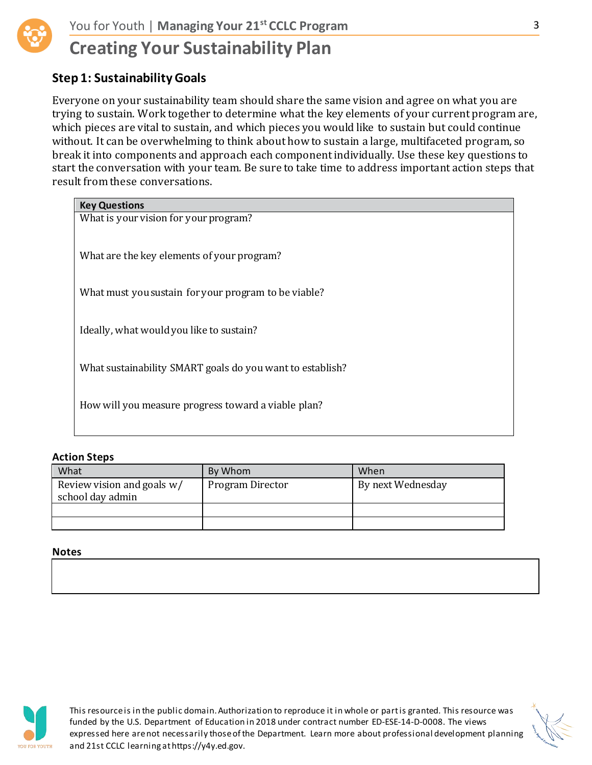

### **Step 1: Sustainability Goals**

Everyone on your sustainability team should share the same vision and agree on what you are trying to sustain. Work together to determine what the key elements of your current program are, which pieces are vital to sustain, and which pieces you would like to sustain but could continue without. It can be overwhelming to think about how to sustain a large, multifaceted program, so break it into components and approach each component individually. Use these key questions to start the conversation with your team. Be sure to take time to address important action steps that result from these conversations.

| <b>Key Questions</b>                                      |
|-----------------------------------------------------------|
| What is your vision for your program?                     |
| What are the key elements of your program?                |
| What must you sustain for your program to be viable?      |
| Ideally, what would you like to sustain?                  |
| What sustainability SMART goals do you want to establish? |
| How will you measure progress toward a viable plan?       |
|                                                           |

### **Action Steps**

| What                                           | By Whom          | When              |
|------------------------------------------------|------------------|-------------------|
| Review vision and goals w/<br>school day admin | Program Director | By next Wednesday |
|                                                |                  |                   |
|                                                |                  |                   |

#### **Notes**



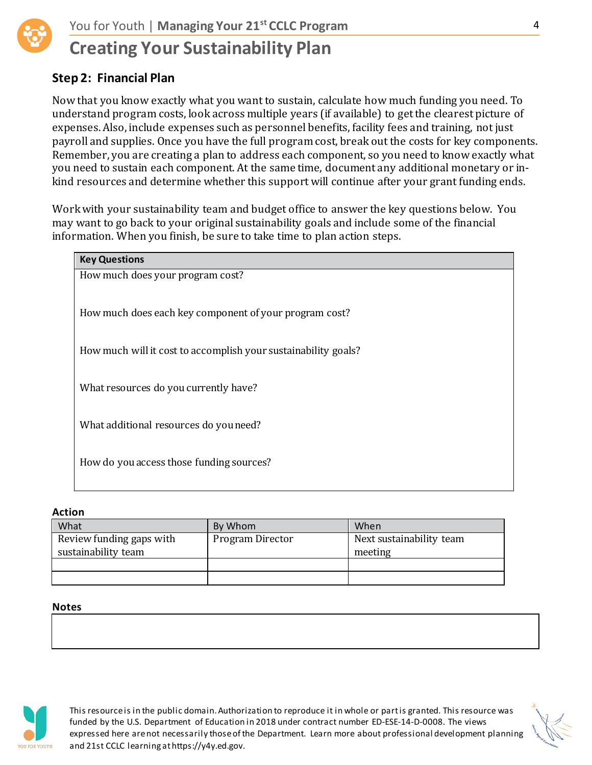

### **Step 2: Financial Plan**

Now that you know exactly what you want to sustain, calculate how much funding you need. To understand program costs, look across multiple years (if available) to get the clearest picture of expenses. Also, include expenses such as personnel benefits, facility fees and training, not just payroll and supplies. Once you have the full program cost, break out the costs for key components. Remember, you are creating a plan to address each component, so you need to know exactly what you need to sustain each component. At the same time, document any additional monetary or inkind resources and determine whether this support will continue after your grant funding ends.

Work with your sustainability team and budget office to answer the key questions below. You may want to go back to your original sustainability goals and include some of the financial information. When you finish, be sure to take time to plan action steps.

| <b>Key Questions</b>                                           |
|----------------------------------------------------------------|
| How much does your program cost?                               |
|                                                                |
| How much does each key component of your program cost?         |
|                                                                |
| How much will it cost to accomplish your sustainability goals? |
|                                                                |
| What resources do you currently have?                          |
|                                                                |
| What additional resources do you need?                         |
|                                                                |
| How do you access those funding sources?                       |
|                                                                |
|                                                                |

#### **Action**

| What                     | By Whom          | When                     |
|--------------------------|------------------|--------------------------|
| Review funding gaps with | Program Director | Next sustainability team |
| sustainability team      |                  | meeting                  |
|                          |                  |                          |
|                          |                  |                          |

#### **Notes**



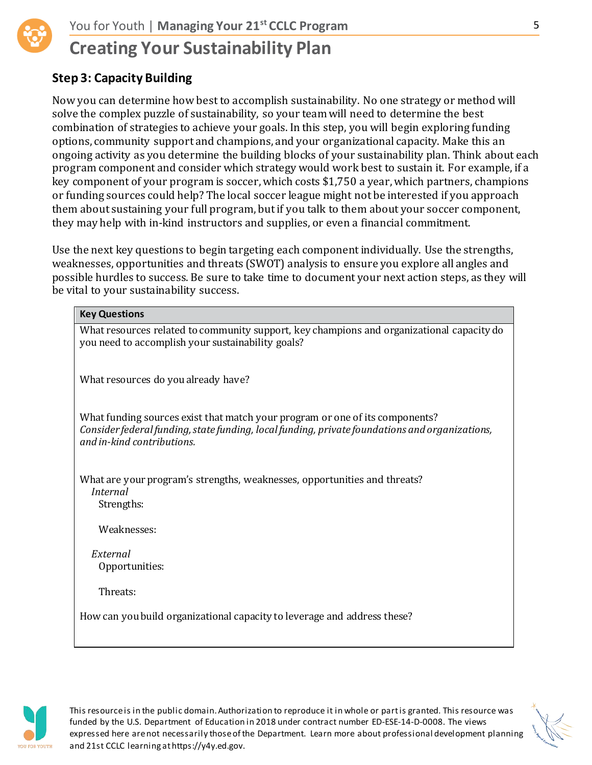## **Step 3: Capacity Building**

Now you can determine how best to accomplish sustainability. No one strategy or method will solve the complex puzzle of sustainability, so your team will need to determine the best combination of strategies to achieve your goals. In this step, you will begin exploring funding options, community support and champions, and your organizational capacity. Make this an ongoing activity as you determine the building blocks of your sustainability plan. Think about each program component and consider which strategy would work best to sustain it. For example, if a key component of your program is soccer, which costs \$1,750 a year, which partners, champions or funding sources could help? The local soccer league might not be interested if you approach them about sustaining your full program, but if you talk to them about your soccer component, they may help with in-kind instructors and supplies, or even a financial commitment.

Use the next key questions to begin targeting each component individually. Use the strengths, weaknesses, opportunities and threats (SWOT) analysis to ensure you explore all angles and possible hurdles to success. Be sure to take time to document your next action steps, as they will be vital to your sustainability success.

| <b>Key Questions</b>                                                                                                                                                                                         |
|--------------------------------------------------------------------------------------------------------------------------------------------------------------------------------------------------------------|
| What resources related to community support, key champions and organizational capacity do<br>you need to accomplish your sustainability goals?                                                               |
| What resources do you already have?                                                                                                                                                                          |
| What funding sources exist that match your program or one of its components?<br>Consider federal funding, state funding, local funding, private foundations and organizations,<br>and in-kind contributions. |
| What are your program's strengths, weaknesses, opportunities and threats?<br>Internal<br>Strengths:                                                                                                          |
| Weaknesses:                                                                                                                                                                                                  |
| External<br>Opportunities:                                                                                                                                                                                   |
| Threats:                                                                                                                                                                                                     |
| How can you build organizational capacity to leverage and address these?                                                                                                                                     |
|                                                                                                                                                                                                              |



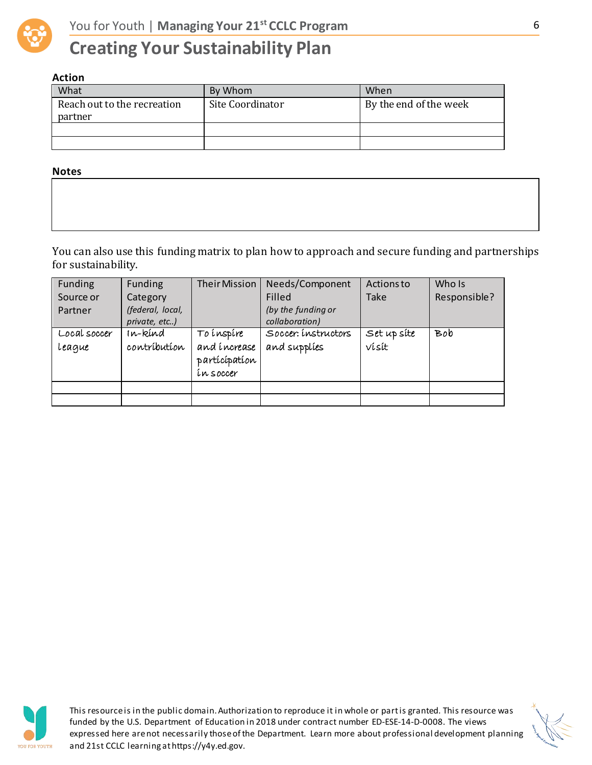

### **Action**

| What                                   | By Whom          | When                   |
|----------------------------------------|------------------|------------------------|
| Reach out to the recreation<br>partner | Site Coordinator | By the end of the week |
|                                        |                  |                        |
|                                        |                  |                        |

#### **Notes**

You can also use this funding matrix to plan how to approach and secure funding and partnerships for sustainability.

| Funding<br>Source or<br>Partner | Funding<br>Category<br>(federal, local,<br>private, etc) | <b>Their Mission</b>                                     | Needs/Component<br>Filled<br>(by the funding or<br>collaboration) | Actions to<br>Take   | Who Is<br>Responsible? |
|---------------------------------|----------------------------------------------------------|----------------------------------------------------------|-------------------------------------------------------------------|----------------------|------------------------|
| Local soccer<br>league          | ın-kind<br>contríbutíon                                  | To inspire<br>and increase<br>participation<br>ín soccer | Soccer: instructors<br>and supplies                               | Set up site<br>vísít | Bob                    |
|                                 |                                                          |                                                          |                                                                   |                      |                        |



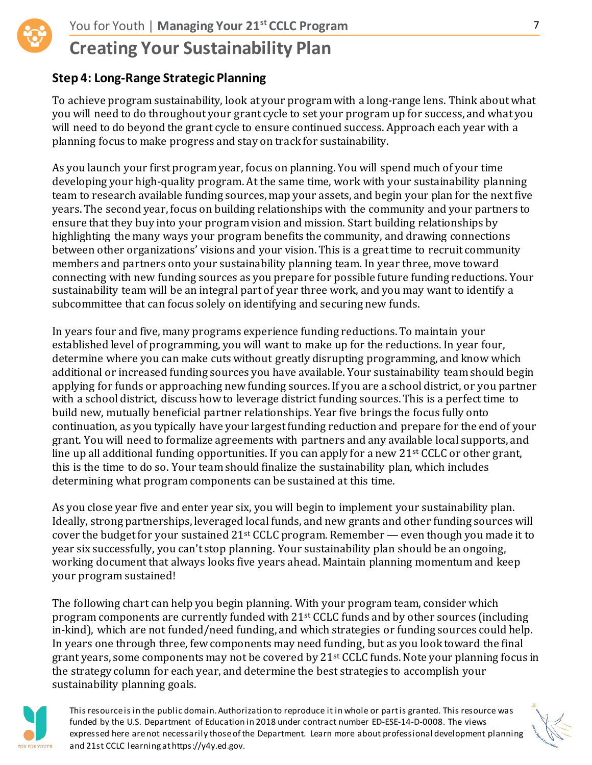

### **Step 4: Long-Range Strategic Planning**

To achieve program sustainability, look at your program with a long-range lens. Think about what you will need to do throughout your grant cycle to set your program up for success, and what you will need to do beyond the grant cycle to ensure continued success. Approach each year with a planning focus to make progress and stay on track for sustainability.

As you launch your first program year, focus on planning. You will spend much of your time developing your high-quality program. At the same time, work with your sustainability planning team to research available funding sources, map your assets, and begin your plan for the next five years. The second year, focus on building relationships with the community and your partners to ensure that they buy into your program vision and mission. Start building relationships by highlighting the many ways your program benefits the community, and drawing connections between other organizations' visions and your vision. This is a great time to recruit community members and partners onto your sustainability planning team. In year three, move toward connecting with new funding sources as you prepare for possible future funding reductions. Your sustainability team will be an integral part of year three work, and you may want to identify a subcommittee that can focus solely on identifying and securing new funds.

In years four and five, many programs experience funding reductions. To maintain your established level of programming, you will want to make up for the reductions. In year four, determine where you can make cuts without greatly disrupting programming, and know which additional or increased funding sources you have available. Your sustainability team should begin applying for funds or approaching new funding sources. If you are a school district, or you partner with a school district, discuss how to leverage district funding sources. This is a perfect time to build new, mutually beneficial partner relationships. Year five brings the focus fully onto continuation, as you typically have your largest funding reduction and prepare for the end of your grant. You will need to formalize agreements with partners and any available local supports, and line up all additional funding opportunities. If you can apply for a new 21st CCLC or other grant, this is the time to do so. Your team should finalize the sustainability plan, which includes determining what program components can be sustained at this time.

As you close year five and enter year six, you will begin to implement your sustainability plan. Ideally, strong partnerships, leveraged local funds, and new grants and other funding sources will cover the budget for your sustained 21st CCLC program. Remember — even though you made it to year six successfully, you can't stop planning. Your sustainability plan should be an ongoing, working document that always looks five years ahead. Maintain planning momentum and keep your program sustained!

The following chart can help you begin planning. With your program team, consider which program components are currently funded with 21st CCLC funds and by other sources (including in-kind), which are not funded/need funding, and which strategies or funding sources could help. In years one through three, few components may need funding, but as you look toward the final grant years, some components may not be covered by 21<sup>st</sup> CCLC funds. Note your planning focus in the strategy column for each year, and determine the best strategies to accomplish your sustainability planning goals.